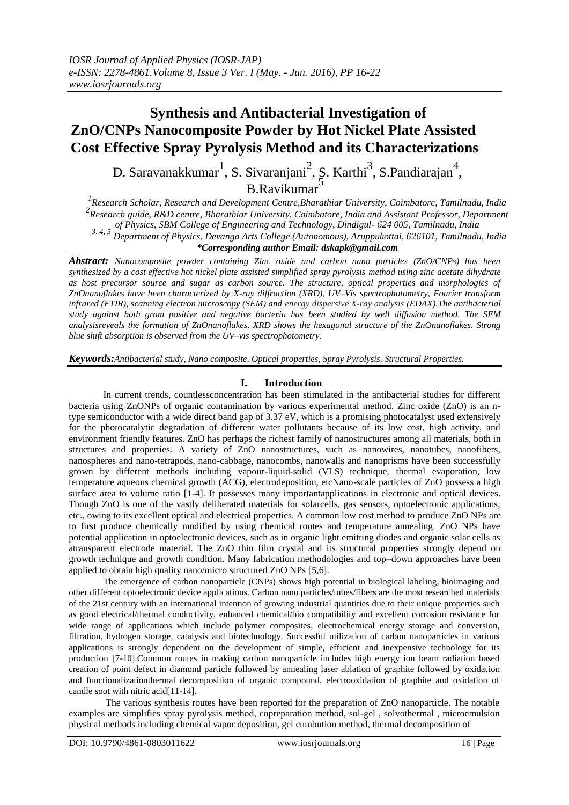# **Synthesis and Antibacterial Investigation of ZnO/CNPs Nanocomposite Powder by Hot Nickel Plate Assisted Cost Effective Spray Pyrolysis Method and its Characterizations**

D. Saravanakkumar<sup>1</sup>, S. Sivaranjani<sup>2</sup>, S. Karthi<sup>3</sup>, S. Pandiarajan<sup>4</sup>, B.Ravikumar<sup>5</sup>

*1 Research Scholar, [Research and Development C](https://www.google.co.in/url?sa=t&rct=j&q=&esrc=s&source=web&cd=1&cad=rja&uact=8&ved=0ahUKEwjDs7b6vq3LAhXOB44KHefnCpcQFggcMAA&url=http%3A%2F%2Fb-u.ac.in%2Fsyl_phd%2Fjan06.pdf&usg=AFQjCNFsrk-k3lYJRwDYEhBU3PxHa9guHA&sig2=gcNNODck52VanDFMQDQqLA)entre,Bharathiar University, Coimbatore, Tamilnadu, India*  <sup>2</sup><br> *Research guide, R&D centre, Bharathiar University, Coimbatore, India and Assistant Professor, Department of Physics, SBM College of Engineering and Technology, Dindigul- 624 005, Tamilnadu, India 3, 4, 5 Department of Physics, Devanga Arts College (Autonomous), Aruppukottai, 626101, Tamilnadu, India*

## *\*Corresponding author Email: dskapk@gmail.com*

*Abstract: Nanocomposite powder containing Zinc oxide and carbon nano particles (ZnO/CNPs) has been synthesized by a cost effective hot nickel plate assisted simplified spray pyrolysis method using zinc acetate dihydrate as host precursor source and sugar as carbon source. The structure, optical properties and morphologies of ZnOnanoflakes have been characterized by X-ray diffraction (XRD), UV–Vis spectrophotometry, Fourier transform infrared (FTIR), scanning electron microscopy (SEM) and energy dispersive X-ray analysis (EDAX).The antibacterial study against both gram positive and negative bacteria has been studied by well diffusion method. The SEM analysisreveals the formation of ZnOnanoflakes. XRD shows the hexagonal structure of the ZnOnanoflakes. Strong blue shift absorption is observed from the UV–vis spectrophotometry.*

*Keywords:Antibacterial study, Nano composite, Optical properties, Spray Pyrolysis, Structural Properties.*

# **I. Introduction**

In current trends, countlessconcentration has been stimulated in the antibacterial studies for different bacteria using ZnONPs of organic contamination by various experimental method. Zinc oxide (ZnO) is an ntype semiconductor with a wide direct band gap of 3.37 eV, which is a promising photocatalyst used extensively for the photocatalytic degradation of different water pollutants because of its low cost, high activity, and environment friendly features. ZnO has perhaps the richest family of nanostructures among all materials, both in structures and properties. A variety of ZnO nanostructures, such as nanowires, nanotubes, nanofibers, nanospheres and nano-tetrapods, nano-cabbage, nanocombs, nanowalls and nanoprisms have been successfully grown by different methods including vapour-liquid-solid (VLS) technique, thermal evaporation, low temperature aqueous chemical growth (ACG), electrodeposition, etcNano-scale particles of ZnO possess a high surface area to volume ratio [1-4]. It possesses many importantapplications in electronic and optical devices. Though ZnO is one of the vastly deliberated materials for solarcells, gas sensors, optoelectronic applications, etc., owing to its excellent optical and electrical properties. A common low cost method to produce ZnO NPs are to first produce chemically modified by using chemical routes and temperature annealing. ZnO NPs have potential application in optoelectronic devices, such as in organic light emitting diodes and organic solar cells as atransparent electrode material. The ZnO thin film crystal and its structural properties strongly depend on growth technique and growth condition. Many fabrication methodologies and top–down approaches have been applied to obtain high quality nano/micro structured ZnO NPs [5,6].

The emergence of carbon nanoparticle (CNPs) shows high potential in biological labeling, bioimaging and other different optoelectronic device applications. Carbon nano particles/tubes/fibers are the most researched materials of the 21st century with an international intention of growing industrial quantities due to their unique properties such as good electrical/thermal conductivity, enhanced chemical/bio compatibility and excellent corrosion resistance for wide range of applications which include polymer composites, electrochemical energy storage and conversion, filtration, hydrogen storage, catalysis and biotechnology. Successful utilization of carbon nanoparticles in various applications is strongly dependent on the development of simple, efficient and inexpensive technology for its production [7-10].Common routes in making carbon nanoparticle includes high energy ion beam radiation based creation of point defect in diamond particle followed by annealing laser ablation of graphite followed by oxidation and functionalizationthermal decomposition of organic compound, electrooxidation of graphite and oxidation of candle soot with nitric acid[11-14].

The various synthesis routes have been reported for the preparation of ZnO nanoparticle. The notable examples are simplifies spray pyrolysis method, copreparation method, sol-gel , solvothermal , microemulsion physical methods including chemical vapor deposition, gel cumbution method, thermal decomposition of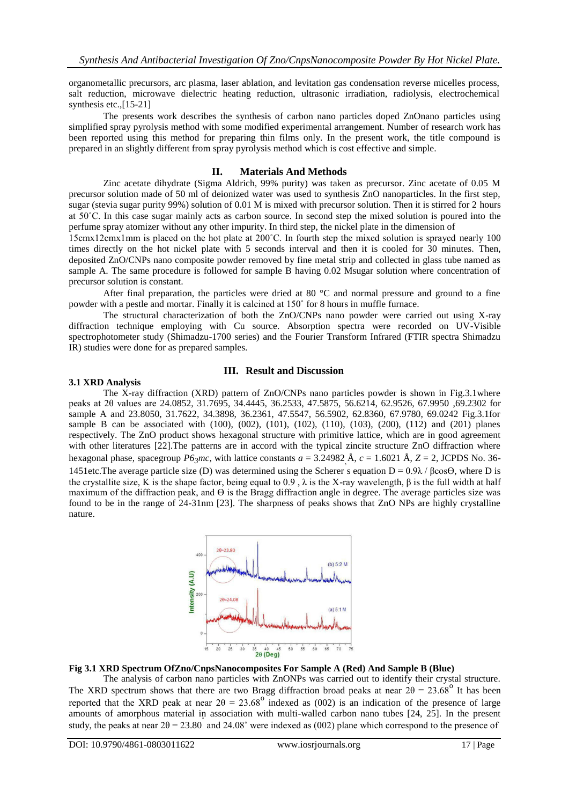organometallic precursors, arc plasma, laser ablation, and levitation gas condensation reverse micelles process, salt reduction, microwave dielectric heating reduction, ultrasonic irradiation, radiolysis, electrochemical synthesis etc., [15-21]

The presents work describes the synthesis of carbon nano particles doped ZnOnano particles using simplified spray pyrolysis method with some modified experimental arrangement. Number of research work has been reported using this method for preparing thin films only. In the present work, the title compound is prepared in an slightly different from spray pyrolysis method which is cost effective and simple.

## **II. Materials And Methods**

Zinc acetate dihydrate (Sigma Aldrich, 99% purity) was taken as precursor. Zinc acetate of 0.05 M precursor solution made of 50 ml of deionized water was used to synthesis ZnO nanoparticles. In the first step, sugar (stevia sugar purity 99%) solution of 0.01 M is mixed with precursor solution. Then it is stirred for 2 hours at 50˚C. In this case sugar mainly acts as carbon source. In second step the mixed solution is poured into the perfume spray atomizer without any other impurity. In third step, the nickel plate in the dimension of

15cmx12cmx1mm is placed on the hot plate at 200˚C. In fourth step the mixed solution is sprayed nearly 100 times directly on the hot nickel plate with 5 seconds interval and then it is cooled for 30 minutes. Then, deposited ZnO/CNPs nano composite powder removed by fine metal strip and collected in glass tube named as sample A. The same procedure is followed for sample B having 0.02 Msugar solution where concentration of precursor solution is constant.

After final preparation, the particles were dried at 80  $^{\circ}$ C and normal pressure and ground to a fine powder with a pestle and mortar. Finally it is calcined at 150˚ for 8 hours in muffle furnace.

The structural characterization of both the ZnO/CNPs nano powder were carried out using X-ray diffraction technique employing with Cu source. Absorption spectra were recorded on UV-Visible spectrophotometer study (Shimadzu-1700 series) and the Fourier Transform Infrared (FTIR spectra Shimadzu IR) studies were done for as prepared samples.

# **III. Result and Discussion**

### **3.1 XRD Analysis**

The X-ray diffraction (XRD) pattern of ZnO/CNPs nano particles powder is shown in Fig.3.1where peaks at 2θ values are 24.0852, 31.7695, 34.4445, 36.2533, 47.5875, 56.6214, 62.9526, 67.9950 ,69.2302 for sample A and 23.8050, 31.7622, 34.3898, 36.2361, 47.5547, 56.5902, 62.8360, 67.9780, 69.0242 Fig.3.1for sample B can be associated with (100), (002), (101), (102), (110), (103), (200), (112) and (201) planes respectively. The ZnO product shows hexagonal structure with primitive lattice, which are in good agreement with other literatures [22]. The patterns are in accord with the typical zincite structure ZnO diffraction where hexagonal phase, spacegroup  $P6_3$ *mc*, with lattice constants  $a = 3.24982 \text{ Å}$ ,  $c = 1.6021 \text{ Å}$ ,  $Z = 2$ , JCPDS No. 36-1451etc. The average particle size (D) was determined using the Scherer's equation  $D = 0.9\lambda / \beta cos\Theta$ , where D is the crystallite size, K is the shape factor, being equal to 0.9, λ is the X-ray wavelength, β is the full width at half maximum of the diffraction peak, and  $\Theta$  is the Bragg diffraction angle in degree. The average particles size was found to be in the range of 24-31nm [23]. The sharpness of peaks shows that ZnO NPs are highly crystalline nature.



### **Fig 3.1 XRD Spectrum OfZno/CnpsNanocomposites For Sample A (Red) And Sample B (Blue)**

The analysis of carbon nano particles with ZnONPs was carried out to identify their crystal structure. The XRD spectrum shows that there are two Bragg diffraction broad peaks at near  $2\theta = 23.68^{\circ}$  It has been reported that the XRD peak at near  $2\theta = 23.68^{\circ}$  indexed as (002) is an indication of the presence of large amounts of amorphous material in association with multi-walled carbon nano tubes [24, 25]. In the present study, the peaks at near  $2\theta = 23.80^{\circ}$  and  $24.08^{\circ}$  were indexed as (002) plane which correspond to the presence of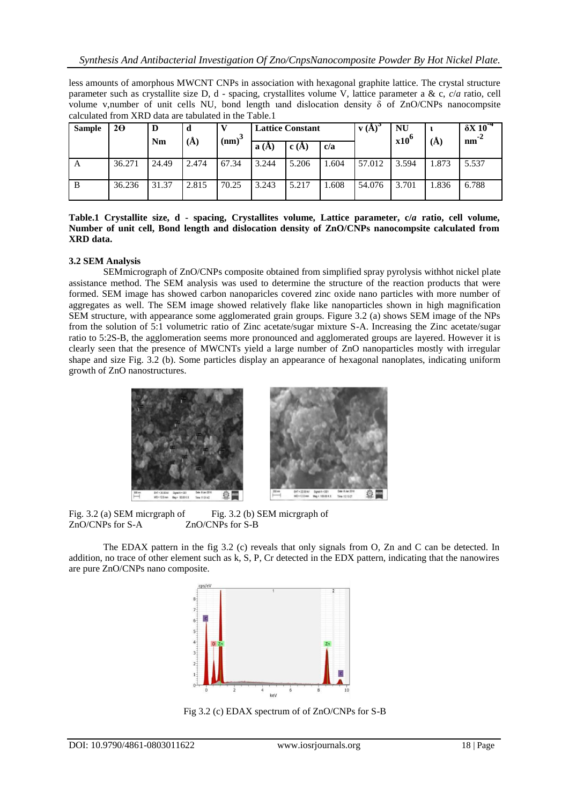less amounts of amorphous MWCNT CNPs in association with hexagonal graphite lattice. The crystal structure parameter such as crystallite size D, d - spacing, crystallites volume V, lattice parameter a & c, *c*/*a* ratio, cell volume v,number of unit cells NU, bond length und dislocation density  $\delta$  of ZnO/CNPs nanocompsite calculated from XRD data are tabulated in the Table.1

| <b>Sample</b> | $2\Theta$ | D     | d     |          | <b>Lattice Constant</b> |       |      | $\bf{v}$ (A) | <b>NU</b><br>$x10^6$ |       | $\delta X 10^{-4}$<br>$nm^2$ |
|---------------|-----------|-------|-------|----------|-------------------------|-------|------|--------------|----------------------|-------|------------------------------|
|               |           | Nm    | (A)   | $(nm)^3$ | (A)<br>a                | c(A)  | c/a  |              |                      | (Å)   |                              |
| A             | 36.271    | 24.49 | 2.474 | 67.34    | 3.244                   | 5.206 | .604 | 57.012       | 3.594                | 1.873 | 5.537                        |
| B             | 36.236    | 31.37 | 2.815 | 70.25    | 3.243                   | 5.217 | .608 | 54.076       | 3.701                | 1.836 | 6.788                        |

**Table.1 Crystallite size, d - spacing, Crystallites volume, Lattice parameter, c/***a* **ratio, cell volume, Number of unit cell, Bond length and dislocation density of ZnO/CNPs nanocompsite calculated from XRD data.**

# **3.2 SEM Analysis**

SEMmicrograph of ZnO/CNPs composite obtained from simplified spray pyrolysis withhot nickel plate assistance method. The SEM analysis was used to determine the structure of the reaction products that were formed. SEM image has showed carbon nanoparicles covered zinc oxide nano particles with more number of aggregates as well. The SEM image showed relatively flake like nanoparticles shown in high magnification SEM structure, with appearance some agglomerated grain groups. Figure 3.2 (a) shows SEM image of the NPs from the solution of 5:1 volumetric ratio of Zinc acetate/sugar mixture S-A. Increasing the Zinc acetate/sugar ratio to 5:2S-B, the agglomeration seems more pronounced and agglomerated groups are layered. However it is clearly seen that the presence of MWCNTs yield a large number of ZnO nanoparticles mostly with irregular shape and size Fig. 3.2 (b). Some particles display an appearance of hexagonal nanoplates, indicating uniform growth of ZnO nanostructures.



Fig. 3.2 (a) SEM micrgraph of ZnO/CNPs for S-A Fig. 3.2 (b) SEM micrgraph of ZnO/CNPs for S-B

The EDAX pattern in the fig 3.2 (c) reveals that only signals from O, Zn and C can be detected. In addition, no trace of other element such as k, S, P, Cr detected in the EDX pattern, indicating that the nanowires are pure ZnO/CNPs nano composite.



Fig 3.2 (c) EDAX spectrum of of ZnO/CNPs for S-B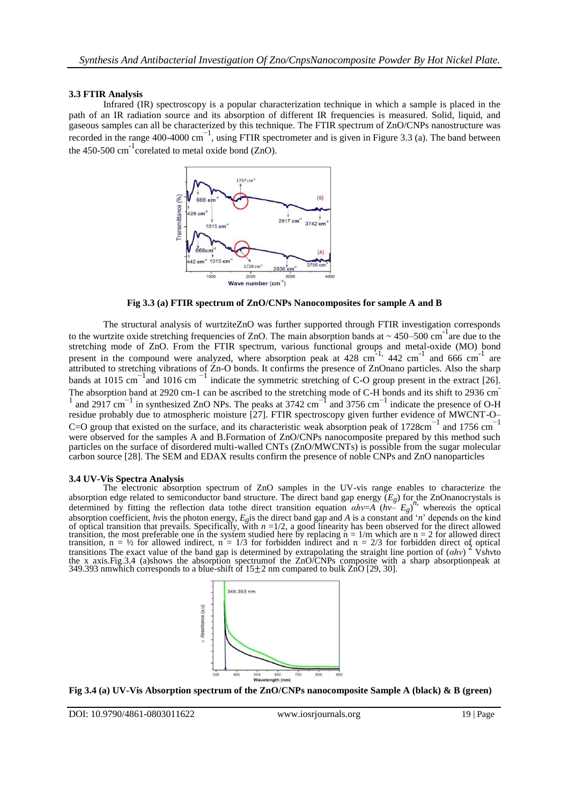## **3.3 FTIR Analysis**

Infrared (IR) spectroscopy is a popular characterization technique in which a sample is placed in the path of an IR radiation source and its absorption of different IR frequencies is measured. Solid, liquid, and gaseous samples can all be characterized by this technique. The FTIR spectrum of ZnO/CNPs nanostructure was recorded in the range 400-4000 cm<sup>-1</sup>, using FTIR spectrometer and is given in Figure 3.3 (a). The band between the 450-500  $\text{cm}^{-1}$  corelated to metal oxide bond (ZnO).



**Fig 3.3 (a) FTIR spectrum of ZnO/CNPs Nanocomposites for sample A and B**

The structural analysis of wurtziteZnO was further supported through FTIR investigation corresponds to the wurtzite oxide stretching frequencies of ZnO. The main absorption bands at  $\sim 450-500$  cm<sup>-1</sup> are due to the stretching mode of ZnO. From the FTIR spectrum, various functional groups and metal-oxide (MO) bond present in the compound were analyzed, where absorption peak at  $428 \text{ cm}^{-1}$ ,  $442 \text{ cm}^{-1}$  and  $666 \text{ cm}^{-1}$  are attributed to stretching vibrations of Zn-O bonds. It confirms the presence of ZnOnano particles. Also the sharp bands at 1015 cm<sup>-1</sup> and 1016 cm<sup>-1</sup> indicate the symmetric stretching of C-O group present in the extract [26]. The absorption band at 2920 cm-1 can be ascribed to the stretching mode of C-H bonds and its shift to 2936 cm  $1$  and 2917 cm<sup>-1</sup> in synthesized ZnO NPs. The peaks at 3742 cm<sup>-1</sup> and 3756 cm<sup>-1</sup> indicate the presence of O-H residue probably due to atmospheric moisture [27]. FTIR spectroscopy given further evidence of MWCNT-O– C=O group that existed on the surface, and its characteristic weak absorption peak of 1728cm<sup>-1</sup> and 1756 cm<sup>-1</sup> were observed for the samples A and B.Formation of ZnO/CNPs nanocomposite prepared by this method such particles on the surface of disordered multi-walled CNTs (ZnO/MWCNTs) is possible from the sugar molecular carbon source [28]. The SEM and EDAX results confirm the presence of noble CNPs and ZnO nanoparticles

#### **3.4 UV-Vis Spectra Analysis**

The electronic absorption spectrum of ZnO samples in the UV-vis range enables to characterize the absorption edge related to semiconductor band structure. The direct band gap energy  $(E_g)$  for the ZnOnanocrystals is absorption edge related to semiconductor band structure. The direct band gap energy  $(E_g)$  for the ZnOnanocrystals is determined by fitting the reflection data tothe direct transition equation  $ahv=A(hv-E_g)^{n_s}$ , where*a*is the optical absorption coefficient, hvis the photon energy,  $E_g$  is the direct band gap and A is a constant and 'n' depends on the kind<br>of optical transition that prevails. Specifically, with  $n = 1/2$ , a good linearity has been obser transition, the most preferable one in the system studied here by replacing  $n = 1/m$  which are  $n = 2$  for allowed direct transition,  $n = \frac{1}{2}$  for allowed indirect,  $n = \frac{1}{3}$  for forbidden indirect and  $n = \frac{2}{3}$  for forbidden direct of optical transitions The exact value of the band gap is determined by extrapolating the straight line the x axis.Fig.3.4 (a)shows the absorption spectrumof the ZnO/CNPs composite with a sharp absorptionpeak at 349.393 nmwhich corresponds to a blue-shift of  $15\pm2$  nm compared to bulk ZnO [29, 30].



**Fig 3.4 (a) UV-Vis Absorption spectrum of the ZnO/CNPs nanocomposite Sample A (black) & B (green)**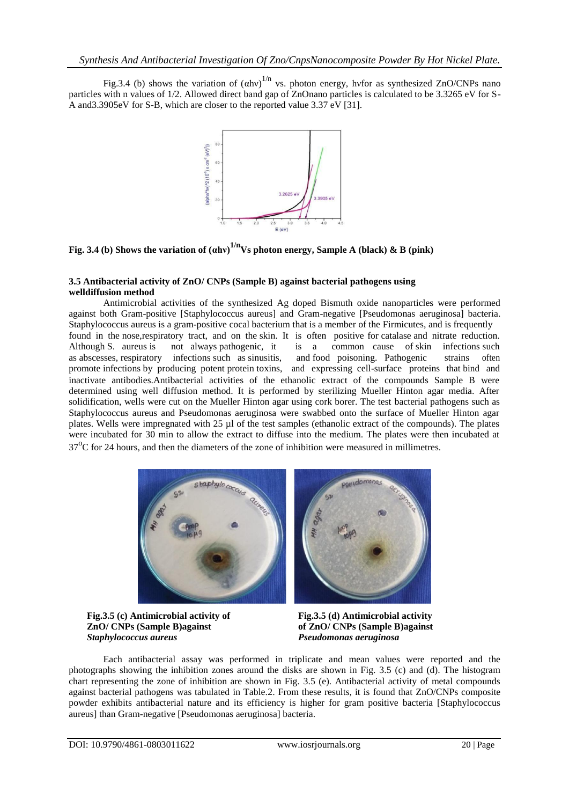Fig.3.4 (b) shows the variation of  $(ahv)^{1/n}$  vs. photon energy, hvfor as synthesized ZnO/CNPs nano particles with n values of 1/2. Allowed direct band gap of ZnOnano particles is calculated to be 3.3265 eV for S-A and3.3905eV for S-B, which are closer to the reported value 3.37 eV [31].



**Fig. 3.4 (b) Shows the variation of (αhν) 1/nVs photon energy, Sample A (black) & B (pink)**

## **3.5 Antibacterial activity of ZnO/ CNPs (Sample B) against bacterial pathogens using welldiffusion method**

Antimicrobial activities of the synthesized Ag doped Bismuth oxide nanoparticles were performed against both Gram-positive [Staphylococcus aureus] and Gram-negative [Pseudomonas aeruginosa] bacteria. Staphylococcus aureus is a [gram-positive cocal](https://en.wikipedia.org/wiki/Gram-positive) [bacterium t](https://en.wikipedia.org/wiki/Bacterium)hat is a member of the [Firmicutes, a](https://en.wikipedia.org/wiki/Firmicutes)nd is frequently found in the [nose,respiratory tract, a](https://en.wikipedia.org/wiki/Respiratory_tract)nd on the [skin. I](https://en.wikipedia.org/wiki/Human_skin)t is often positive fo[r catalase a](https://en.wikipedia.org/wiki/Catalase)nd nitrate reduction. Although S. aureus is not always [pathogenic, i](https://en.wikipedia.org/wiki/Pathogen)t is a common cause of [skin](https://en.wikipedia.org/wiki/Skin_infection) [infections s](https://en.wikipedia.org/wiki/Skin_infection)uch as [abscesses, respiratory](https://en.wikipedia.org/wiki/Abscess) [infections s](https://en.wikipedia.org/wiki/Respiratory_disease#Respiratory_tract_infections)uch as [sinusitis,](https://en.wikipedia.org/wiki/Sinusitis) and [food poisoning. P](https://en.wikipedia.org/wiki/Food_poisoning)athogenic strains often promote [infections b](https://en.wikipedia.org/wiki/Infection)y producing potent [protein toxins,](https://en.wikipedia.org/wiki/Protein) and expressing cell-surface proteins that [bind](https://en.wikipedia.org/wiki/Protein_A) [and](https://en.wikipedia.org/wiki/Protein_A) [inactivate a](https://en.wikipedia.org/wiki/Protein_A)ntibodies.Antibacterial activities of the ethanolic extract of the compounds Sample B were determined using well diffusion method. It is performed by sterilizing Mueller Hinton agar media. After solidification, wells were cut on the Mueller Hinton agar using cork borer. The test bacterial pathogens such as Staphylococcus aureus and Pseudomonas aeruginosa were swabbed onto the surface of Mueller Hinton agar plates. Wells were impregnated with 25 µl of the test samples (ethanolic extract of the compounds). The plates were incubated for 30 min to allow the extract to diffuse into the medium. The plates were then incubated at 37<sup>o</sup>C for 24 hours, and then the diameters of the zone of inhibition were measured in millimetres.



**Fig.3.5 (c) Antimicrobial activity of ZnO/ CNPs (Sample B)against** *Staphylococcus aureus*

**Fig.3.5 (d) Antimicrobial activity of ZnO/ CNPs (Sample B)against** *Pseudomonas aeruginosa*

Each antibacterial assay was performed in triplicate and mean values were reported and the photographs showing the inhibition zones around the disks are shown in Fig. 3.5 (c) and (d). The histogram chart representing the zone of inhibition are shown in Fig. 3.5 (e). Antibacterial activity of metal compounds against bacterial pathogens was tabulated in Table.2. From these results, it is found that ZnO/CNPs composite powder exhibits antibacterial nature and its efficiency is higher for gram positive bacteria [Staphylococcus aureus] than Gram-negative [Pseudomonas aeruginosa] bacteria.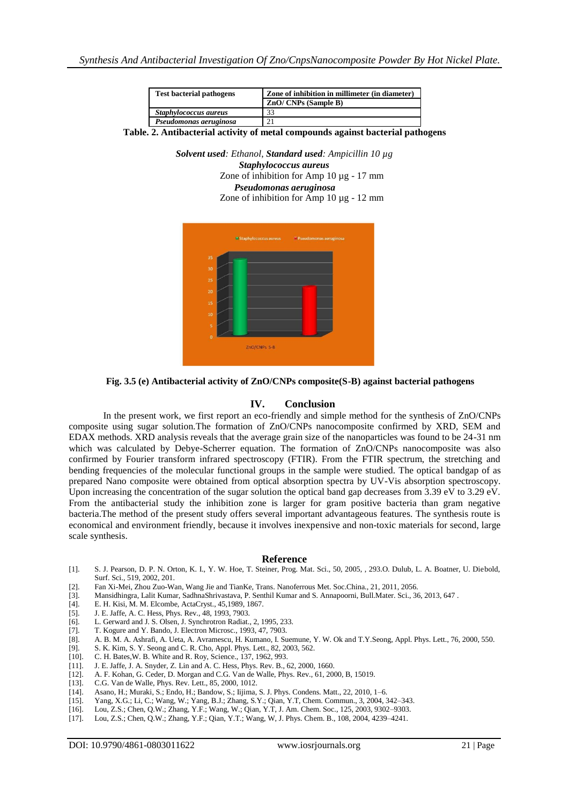| <b>Test bacterial pathogens</b> | Zone of inhibition in millimeter (in diameter) |  |  |  |  |  |  |
|---------------------------------|------------------------------------------------|--|--|--|--|--|--|
|                                 | $ZnO/CNPs$ (Sample B)                          |  |  |  |  |  |  |
| Staphylococcus aureus           | 33                                             |  |  |  |  |  |  |
| Pseudomonas aeruginosa          |                                                |  |  |  |  |  |  |

**Table. 2. Antibacterial activity of metal compounds against bacterial pathogens**

*Solvent used: Ethanol*, *Standard used: Ampicillin 10 µg Staphylococcus aureus* Zone of inhibition for Amp 10 µg - 17 mm *Pseudomonas aeruginosa* Zone of inhibition for Amp 10 µg - 12 mm



**Fig. 3.5 (e) Antibacterial activity of ZnO/CNPs composite(S-B) against bacterial pathogens**

### **IV. Conclusion**

In the present work, we first report an eco-friendly and simple method for the synthesis of ZnO/CNPs composite using sugar solution*.*The formation of ZnO/CNPs nanocomposite confirmed by XRD, SEM and EDAX methods. XRD analysis reveals that the average grain size of the nanoparticles was found to be 24-31 nm which was calculated by Debye-Scherrer equation. The formation of ZnO/CNPs nanocomposite was also confirmed by Fourier transform infrared spectroscopy (FTIR). From the FTIR spectrum, the stretching and bending frequencies of the molecular functional groups in the sample were studied. The optical bandgap of as prepared Nano composite were obtained from optical absorption spectra by UV-Vis absorption spectroscopy. Upon increasing the concentration of the sugar solution the optical band gap decreases from 3.39 eV to 3.29 eV. From the antibacterial study the inhibition zone is larger for gram positive bacteria than gram negative bacteria.The method of the present study offers several important advantageous features. The synthesis route is economical and environment friendly, because it involves inexpensive and non-toxic materials for second, large scale synthesis.

#### **Reference**

- [1]. S. J. Pearson, D. P. N. Orton, K. I., Y. W. Hoe, T. Steiner, Prog. Mat. Sci., 50, 2005, , 293.O. Dulub, L. A. Boatner, U. Diebold, Surf. Sci., 519, 2002, 201.
- [2]. Fan Xi-Mei, Zhou Zuo-Wan, Wang Jie and TianKe, Trans. Nanoferrous Met. Soc.China., 21, 2011, 2056.
- [3]. Mansidhingra, Lalit Kumar, SadhnaShrivastava, P. Senthil Kumar and S. Annapoorni, Bull.Mater. Sci., 36, 2013, 647 .
- E. H. Kisi, M. M. Elcombe, ActaCryst., 45,1989, 1867.
- [5]. J. E. Jaffe, A. C. Hess, Phys. Rev., 48, 1993, 7903.
- [6]. L. Gerward and J. S. Olsen, J. Synchrotron Radiat., 2, 1995, 233. [7]. T. Kogure and Y. Bando, J. Electron Microsc., 1993, 47, 7903.
- [7]. T. Kogure and Y. Bando, J. Electron Microsc., 1993, 47, 7903.
- [8]. A. B. M. A. Ashrafi, A. Ueta, A. Avramescu, H. Kumano, I. Suemune, Y. W. Ok and T.Y.Seong, Appl. Phys. Lett., 76, 2000, 550.
- [9]. S. K. Kim, S. Y. Seong and C. R. Cho, Appl. Phys. Lett., 82, 2003, 562.
- [10]. C. H. Bates, W. B. White and R. Roy, Science., 137, 1962, 993. [11]. J. E. Jaffe, J. A. Snyder, Z. Lin and A. C. Hess, Phys. Rev. B.,
- J. E. Jaffe, J. A. Snyder, Z. Lin and A. C. Hess, Phys. Rev. B., 62, 2000, 1660.
- [12]. A. F. Kohan, G. Ceder, D. Morgan and C.G. Van de Walle, Phys. Rev., 61, 2000, B, 15019.
- [13]. C.G. Van de Walle, Phys. Rev. Lett., 85, 2000, 1012.
- [14]. Asano, H.; Muraki, S.; Endo, H.; Bandow, S.; Iijima, S. J. Phys. Condens. Matt., 22, 2010, 1–6.
- [15]. Yang, X.G.; Li, C.; Wang, W.; Yang, B.J.; Zhang, S.Y.; Qian, Y.T, Chem. Commun., 3, 2004, 342–343.
- [16]. Lou, Z.S.; Chen, Q.W.; Zhang, Y.F.; Wang, W.; Qian, Y.T, J. Am. Chem. Soc., 125, 2003, 9302–9303.
- [17]. Lou, Z.S.; Chen, Q.W.; Zhang, Y.F.; Qian, Y.T.; Wang, W, J. Phys. Chem. B., 108, 2004, 4239–4241.